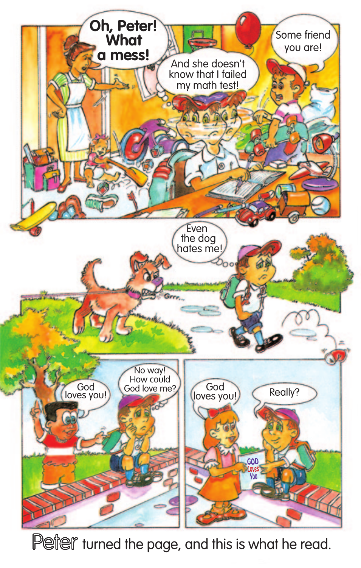

Peter turned the page, and this is what he read.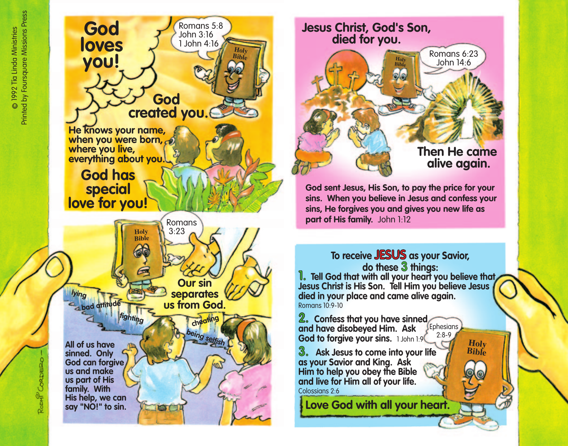Roonf CoRD